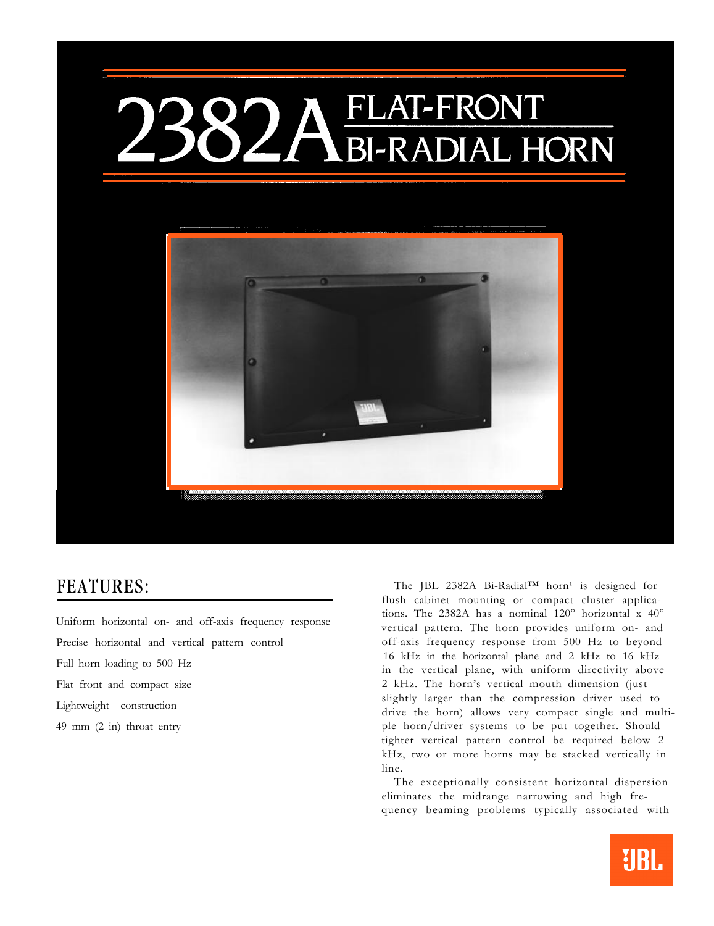## FLAT-FRONT **BI-RADIAL HORN**



Uniform horizontal on- and off-axis frequency response Full horn loading to 500 Hz Flat front and compact size 2 kHz. The horn's vertical mouth dimension (just Lightweight construction

FEATURES: The JBL 2382A Bi-Radial™ horn<sup>1</sup> is designed for flush cabinet mounting or compact cluster applications. The 2382A has a nominal 120° horizontal x 40° vertical pattern. The horn provides uniform on- and Precise horizontal and vertical pattern control off-axis frequency response from 500 Hz to beyond 16 kHz in the horizontal plane and 2 kHz to 16 kHz in the vertical plane, with uniform directivity above slightly larger than the compression driver used to drive the horn) allows very compact single and multi-49 mm (2 in) throat entry ple horn/driver systems to be put together. Should tighter vertical pattern control be required below 2 kHz, two or more horns may be stacked vertically in line.

> The exceptionally consistent horizontal dispersion eliminates the midrange narrowing and high frequency beaming problems typically associated with

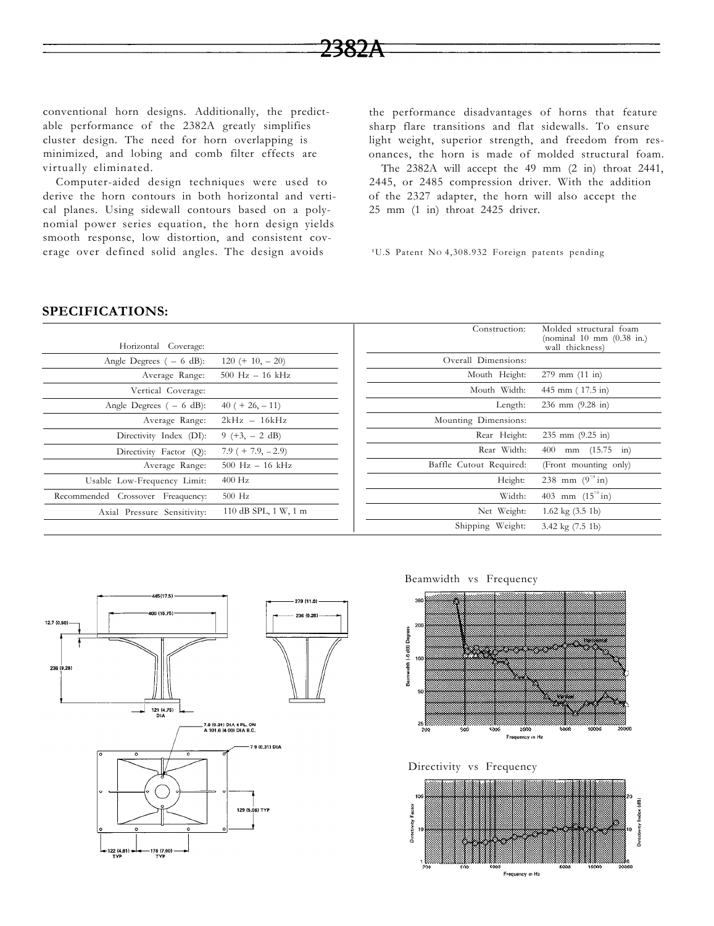conventional horn designs. Additionally, the predictable performance of the 2382A greatly simplifies cluster design. The need for horn overlapping is minimized, and lobing and comb filter effects are virtually eliminated.

Computer-aided design techniques were used to derive the horn contours in both horizontal and vertical planes. Using sidewall contours based on a polynomial power series equation, the horn design yields smooth response, low distortion, and consistent coverage over defined solid angles. The design avoids

the performance disadvantages of horns that feature sharp flare transitions and flat sidewalls. To ensure light weight, superior strength, and freedom from resonances, the horn is made of molded structural foam.

The 2382A will accept the 49 mm (2 in) throat 2441, 2445, or 2485 compression driver. With the addition of the 2327 adapter, the horn will also accept the 25 mm (1 in) throat 2425 driver.

<sup>1</sup>U.S Patent No 4,308.932 Foreign patents pending

## **SPECIFICATIONS:**

| Horizontal Coverage:                 |                      | Construction:           | Molded structural foam<br>(nominal 10 mm (0.38 in.)<br>wall thickness) |
|--------------------------------------|----------------------|-------------------------|------------------------------------------------------------------------|
| Angle Degrees $(-6 dB)$ :            | $120 (+ 10, -20)$    | Overall Dimensions:     |                                                                        |
| Average Range:                       | $500$ Hz $- 16$ kHz  | Mouth Height:           | $279$ mm $(11 \text{ in})$                                             |
| Vertical Coverage:                   |                      | Mouth Width:            | 445 mm (17.5 in)                                                       |
| Angle Degrees $(-6 dB)$ :            | $40 (+ 26, -11)$     | Length:                 | 236 mm $(9.28 \text{ in})$                                             |
| Average Range:                       | $2kHz - 16kHz$       | Mounting Dimensions:    |                                                                        |
| Directivity Index (DI):              | $9 (+3, -2 dB)$      | Rear Height:            | $235$ mm $(9.25$ in)                                                   |
| Directivity Factor (Q):              | $7.9 (+ 7.9, -2.9)$  | Rear Width:             | mm $(15.75 \text{ in})$<br>400                                         |
| Average Range:                       | $500$ Hz $- 16$ kHz  | Baffle Cutout Required: | (Front mounting only)                                                  |
| Usable Low-Frequency Limit:          | $400$ Hz             | Height:                 | 238 mm $(9^{7/8} \text{in})$                                           |
| Crossover Freaquency:<br>Recommended | $500$ Hz             | Width:                  | 403 mm $(15^{7/8} \text{ in})$                                         |
| Axial Pressure Sensitivity:          | 110 dB SPL, 1 W, 1 m | Net Weight:             | $1.62 \text{ kg} (3.5 \text{ lb})$                                     |
|                                      |                      | Shipping Weight:        | 3.42 $kg(7.5 1b)$                                                      |





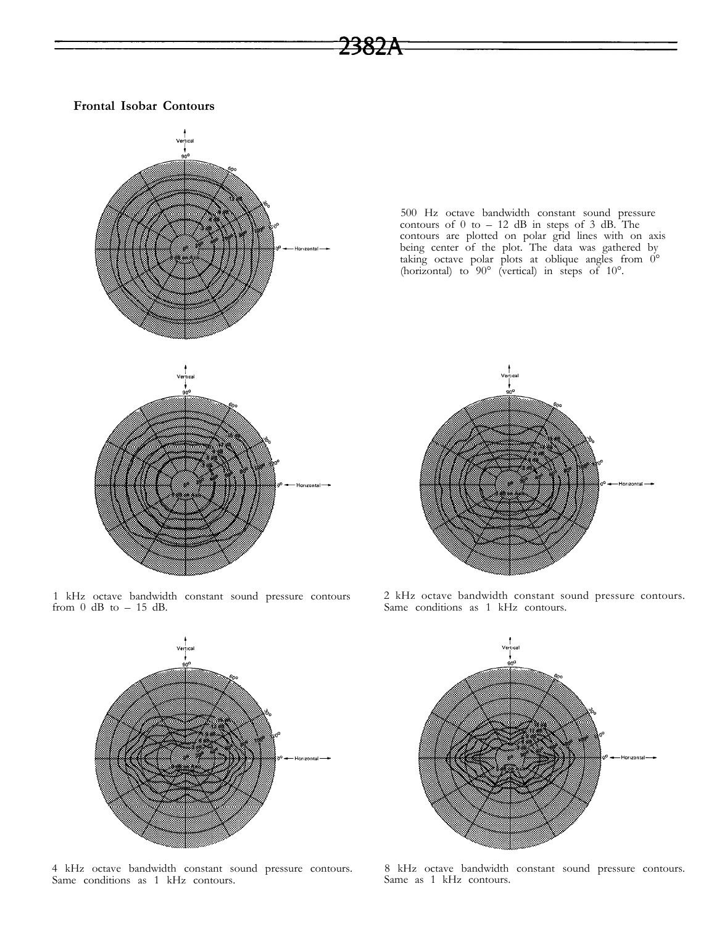## **Frontal Isobar Contours**



1 kHz octave bandwidth constant sound pressure contours from 0 dB to – 15 dB.



4 kHz octave bandwidth constant sound pressure contours. Same conditions as 1 kHz contours.



<del>73827</del>



2 kHz octave bandwidth constant sound pressure contours. Same conditions as 1 kHz contours.



8 kHz octave bandwidth constant sound pressure contours. Same as 1 kHz contours.